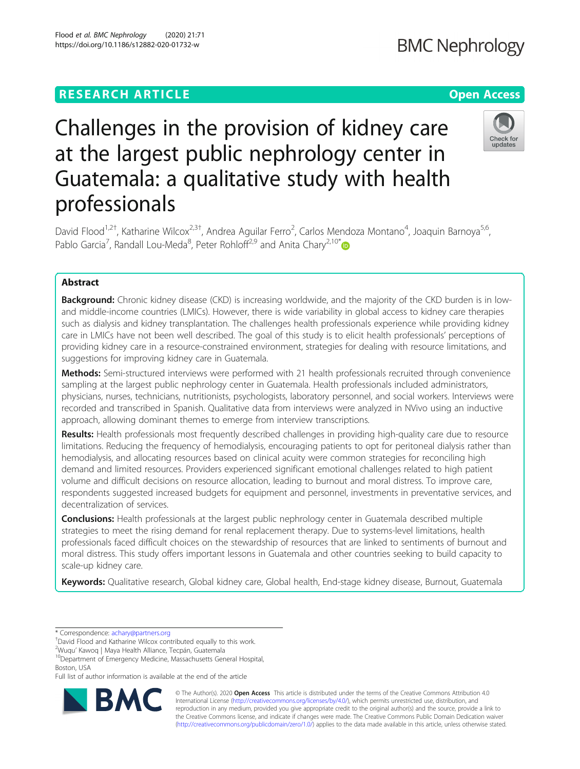Flood et al. BMC Nephrology (2020) 21:71 https://doi.org/10.1186/s12882-020-01732-w

Check for undates

# Challenges in the provision of kidney care at the largest public nephrology center in Guatemala: a qualitative study with health professionals

David Flood<sup>1,2†</sup>, Katharine Wilcox<sup>2,3†</sup>, Andrea Aguilar Ferro<sup>2</sup>, Carlos Mendoza Montano<sup>4</sup>, Joaquin Barnoya<sup>5,6</sup>, Pablo Garcia<sup>7</sup>, Randall Lou-Meda<sup>8</sup>, Peter Rohloff<sup>2,9</sup> and Anita Chary<sup>2,10\*</sup>

# Abstract

**Background:** Chronic kidney disease (CKD) is increasing worldwide, and the majority of the CKD burden is in lowand middle-income countries (LMICs). However, there is wide variability in global access to kidney care therapies such as dialysis and kidney transplantation. The challenges health professionals experience while providing kidney care in LMICs have not been well described. The goal of this study is to elicit health professionals' perceptions of providing kidney care in a resource-constrained environment, strategies for dealing with resource limitations, and suggestions for improving kidney care in Guatemala.

Methods: Semi-structured interviews were performed with 21 health professionals recruited through convenience sampling at the largest public nephrology center in Guatemala. Health professionals included administrators, physicians, nurses, technicians, nutritionists, psychologists, laboratory personnel, and social workers. Interviews were recorded and transcribed in Spanish. Qualitative data from interviews were analyzed in NVivo using an inductive approach, allowing dominant themes to emerge from interview transcriptions.

Results: Health professionals most frequently described challenges in providing high-quality care due to resource limitations. Reducing the frequency of hemodialysis, encouraging patients to opt for peritoneal dialysis rather than hemodialysis, and allocating resources based on clinical acuity were common strategies for reconciling high demand and limited resources. Providers experienced significant emotional challenges related to high patient volume and difficult decisions on resource allocation, leading to burnout and moral distress. To improve care, respondents suggested increased budgets for equipment and personnel, investments in preventative services, and decentralization of services.

**Conclusions:** Health professionals at the largest public nephrology center in Guatemala described multiple strategies to meet the rising demand for renal replacement therapy. Due to systems-level limitations, health professionals faced difficult choices on the stewardship of resources that are linked to sentiments of burnout and moral distress. This study offers important lessons in Guatemala and other countries seeking to build capacity to scale-up kidney care.

Keywords: Qualitative research, Global kidney care, Global health, End-stage kidney disease, Burnout, Guatemala

<sup>2</sup>Wuqu' Kawoq | Maya Health Alliance, Tecpán, Guatemala

Full list of author information is available at the end of the article



© The Author(s). 2020 Open Access This article is distributed under the terms of the Creative Commons Attribution 4.0 International License [\(http://creativecommons.org/licenses/by/4.0/](http://creativecommons.org/licenses/by/4.0/)), which permits unrestricted use, distribution, and reproduction in any medium, provided you give appropriate credit to the original author(s) and the source, provide a link to the Creative Commons license, and indicate if changes were made. The Creative Commons Public Domain Dedication waiver [\(http://creativecommons.org/publicdomain/zero/1.0/](http://creativecommons.org/publicdomain/zero/1.0/)) applies to the data made available in this article, unless otherwise stated.

<sup>\*</sup> Correspondence: [achary@partners.org](mailto:achary@partners.org) †

David Flood and Katharine Wilcox contributed equally to this work.

 $10$  Department of Emergency Medicine, Massachusetts General Hospital, Boston, USA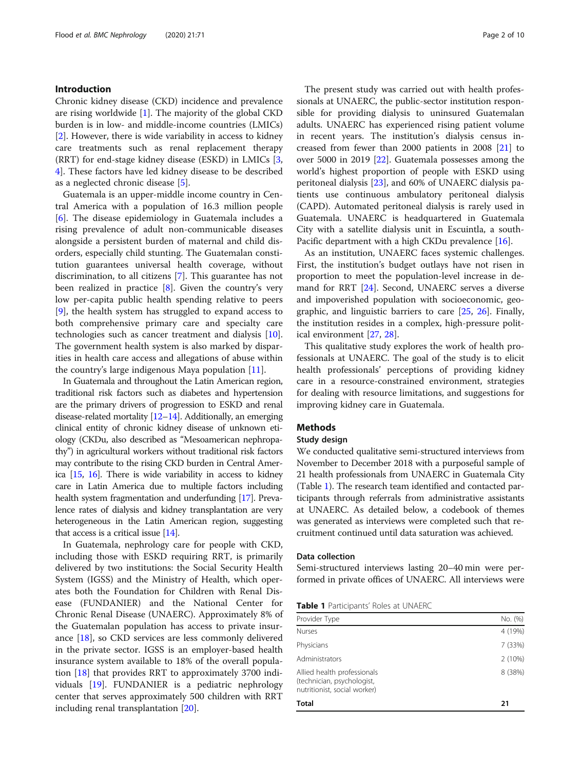#### Introduction

Chronic kidney disease (CKD) incidence and prevalence are rising worldwide [\[1](#page-8-0)]. The majority of the global CKD burden is in low- and middle-income countries (LMICs) [[2\]](#page-8-0). However, there is wide variability in access to kidney care treatments such as renal replacement therapy (RRT) for end-stage kidney disease (ESKD) in LMICs [\[3](#page-8-0), [4\]](#page-8-0). These factors have led kidney disease to be described as a neglected chronic disease [\[5](#page-8-0)].

Guatemala is an upper-middle income country in Central America with a population of 16.3 million people [[6\]](#page-8-0). The disease epidemiology in Guatemala includes a rising prevalence of adult non-communicable diseases alongside a persistent burden of maternal and child disorders, especially child stunting. The Guatemalan constitution guarantees universal health coverage, without discrimination, to all citizens [\[7](#page-8-0)]. This guarantee has not been realized in practice [[8\]](#page-8-0). Given the country's very low per-capita public health spending relative to peers [[9\]](#page-8-0), the health system has struggled to expand access to both comprehensive primary care and specialty care technologies such as cancer treatment and dialysis [\[10](#page-8-0)]. The government health system is also marked by disparities in health care access and allegations of abuse within the country's large indigenous Maya population [\[11\]](#page-8-0).

In Guatemala and throughout the Latin American region, traditional risk factors such as diabetes and hypertension are the primary drivers of progression to ESKD and renal disease-related mortality  $[12-14]$  $[12-14]$  $[12-14]$ . Additionally, an emerging clinical entity of chronic kidney disease of unknown etiology (CKDu, also described as "Mesoamerican nephropathy") in agricultural workers without traditional risk factors may contribute to the rising CKD burden in Central America [[15](#page-8-0), [16\]](#page-8-0). There is wide variability in access to kidney care in Latin America due to multiple factors including health system fragmentation and underfunding [\[17](#page-8-0)]. Prevalence rates of dialysis and kidney transplantation are very heterogeneous in the Latin American region, suggesting that access is a critical issue [\[14\]](#page-8-0).

In Guatemala, nephrology care for people with CKD, including those with ESKD requiring RRT, is primarily delivered by two institutions: the Social Security Health System (IGSS) and the Ministry of Health, which operates both the Foundation for Children with Renal Disease (FUNDANIER) and the National Center for Chronic Renal Disease (UNAERC). Approximately 8% of the Guatemalan population has access to private insurance [\[18\]](#page-8-0), so CKD services are less commonly delivered in the private sector. IGSS is an employer-based health insurance system available to 18% of the overall population [\[18](#page-8-0)] that provides RRT to approximately 3700 individuals [[19](#page-8-0)]. FUNDANIER is a pediatric nephrology center that serves approximately 500 children with RRT including renal transplantation [\[20\]](#page-8-0).

The present study was carried out with health professionals at UNAERC, the public-sector institution responsible for providing dialysis to uninsured Guatemalan adults. UNAERC has experienced rising patient volume in recent years. The institution's dialysis census increased from fewer than 2000 patients in 2008 [[21\]](#page-8-0) to over 5000 in 2019 [[22\]](#page-8-0). Guatemala possesses among the world's highest proportion of people with ESKD using peritoneal dialysis [[23\]](#page-8-0), and 60% of UNAERC dialysis patients use continuous ambulatory peritoneal dialysis (CAPD). Automated peritoneal dialysis is rarely used in Guatemala. UNAERC is headquartered in Guatemala City with a satellite dialysis unit in Escuintla, a south-Pacific department with a high CKDu prevalence [[16](#page-8-0)].

As an institution, UNAERC faces systemic challenges. First, the institution's budget outlays have not risen in proportion to meet the population-level increase in demand for RRT [[24\]](#page-8-0). Second, UNAERC serves a diverse and impoverished population with socioeconomic, geographic, and linguistic barriers to care [[25,](#page-8-0) [26\]](#page-8-0). Finally, the institution resides in a complex, high-pressure political environment [[27,](#page-8-0) [28\]](#page-8-0).

This qualitative study explores the work of health professionals at UNAERC. The goal of the study is to elicit health professionals' perceptions of providing kidney care in a resource-constrained environment, strategies for dealing with resource limitations, and suggestions for improving kidney care in Guatemala.

#### Methods

#### Study design

We conducted qualitative semi-structured interviews from November to December 2018 with a purposeful sample of 21 health professionals from UNAERC in Guatemala City (Table 1). The research team identified and contacted participants through referrals from administrative assistants at UNAERC. As detailed below, a codebook of themes was generated as interviews were completed such that recruitment continued until data saturation was achieved.

#### Data collection

Semi-structured interviews lasting 20–40 min were performed in private offices of UNAERC. All interviews were

|  |  |  | Table 1 Participants' Roles at UNAERC |  |  |  |
|--|--|--|---------------------------------------|--|--|--|
|--|--|--|---------------------------------------|--|--|--|

| Provider Type                                                                             | No. (%) |
|-------------------------------------------------------------------------------------------|---------|
| <b>Nurses</b>                                                                             | 4 (19%) |
| Physicians                                                                                | 7 (33%) |
| Administrators                                                                            | 2 (10%) |
| Allied health professionals<br>(technician, psychologist,<br>nutritionist, social worker) | 8 (38%) |
| Total                                                                                     | 21      |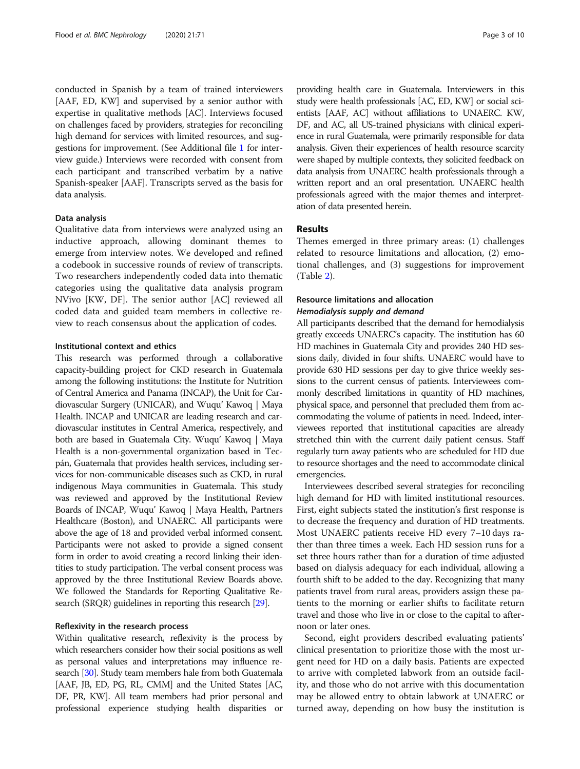conducted in Spanish by a team of trained interviewers [AAF, ED, KW] and supervised by a senior author with expertise in qualitative methods [AC]. Interviews focused on challenges faced by providers, strategies for reconciling high demand for services with limited resources, and suggestions for improvement. (See Additional file [1](#page-7-0) for interview guide.) Interviews were recorded with consent from each participant and transcribed verbatim by a native Spanish-speaker [AAF]. Transcripts served as the basis for data analysis.

#### Data analysis

Qualitative data from interviews were analyzed using an inductive approach, allowing dominant themes to emerge from interview notes. We developed and refined a codebook in successive rounds of review of transcripts. Two researchers independently coded data into thematic categories using the qualitative data analysis program NVivo [KW, DF]. The senior author [AC] reviewed all coded data and guided team members in collective review to reach consensus about the application of codes.

#### Institutional context and ethics

This research was performed through a collaborative capacity-building project for CKD research in Guatemala among the following institutions: the Institute for Nutrition of Central America and Panama (INCAP), the Unit for Cardiovascular Surgery (UNICAR), and Wuqu' Kawoq | Maya Health. INCAP and UNICAR are leading research and cardiovascular institutes in Central America, respectively, and both are based in Guatemala City. Wuqu' Kawoq | Maya Health is a non-governmental organization based in Tecpán, Guatemala that provides health services, including services for non-communicable diseases such as CKD, in rural indigenous Maya communities in Guatemala. This study was reviewed and approved by the Institutional Review Boards of INCAP, Wuqu' Kawoq | Maya Health, Partners Healthcare (Boston), and UNAERC. All participants were above the age of 18 and provided verbal informed consent. Participants were not asked to provide a signed consent form in order to avoid creating a record linking their identities to study participation. The verbal consent process was approved by the three Institutional Review Boards above. We followed the Standards for Reporting Qualitative Research (SRQR) guidelines in reporting this research [\[29\]](#page-8-0).

#### Reflexivity in the research process

Within qualitative research, reflexivity is the process by which researchers consider how their social positions as well as personal values and interpretations may influence research [[30](#page-8-0)]. Study team members hale from both Guatemala [AAF, JB, ED, PG, RL, CMM] and the United States [AC, DF, PR, KW]. All team members had prior personal and professional experience studying health disparities or providing health care in Guatemala. Interviewers in this study were health professionals [AC, ED, KW] or social scientists [AAF, AC] without affiliations to UNAERC. KW, DF, and AC, all US-trained physicians with clinical experience in rural Guatemala, were primarily responsible for data analysis. Given their experiences of health resource scarcity were shaped by multiple contexts, they solicited feedback on data analysis from UNAERC health professionals through a written report and an oral presentation. UNAERC health professionals agreed with the major themes and interpretation of data presented herein.

#### Results

Themes emerged in three primary areas: (1) challenges related to resource limitations and allocation, (2) emotional challenges, and (3) suggestions for improvement (Table [2\)](#page-3-0).

### Resource limitations and allocation Hemodialysis supply and demand

All participants described that the demand for hemodialysis greatly exceeds UNAERC's capacity. The institution has 60 HD machines in Guatemala City and provides 240 HD sessions daily, divided in four shifts. UNAERC would have to provide 630 HD sessions per day to give thrice weekly sessions to the current census of patients. Interviewees commonly described limitations in quantity of HD machines, physical space, and personnel that precluded them from accommodating the volume of patients in need. Indeed, interviewees reported that institutional capacities are already stretched thin with the current daily patient census. Staff regularly turn away patients who are scheduled for HD due to resource shortages and the need to accommodate clinical emergencies.

Interviewees described several strategies for reconciling high demand for HD with limited institutional resources. First, eight subjects stated the institution's first response is to decrease the frequency and duration of HD treatments. Most UNAERC patients receive HD every 7–10 days rather than three times a week. Each HD session runs for a set three hours rather than for a duration of time adjusted based on dialysis adequacy for each individual, allowing a fourth shift to be added to the day. Recognizing that many patients travel from rural areas, providers assign these patients to the morning or earlier shifts to facilitate return travel and those who live in or close to the capital to afternoon or later ones.

Second, eight providers described evaluating patients' clinical presentation to prioritize those with the most urgent need for HD on a daily basis. Patients are expected to arrive with completed labwork from an outside facility, and those who do not arrive with this documentation may be allowed entry to obtain labwork at UNAERC or turned away, depending on how busy the institution is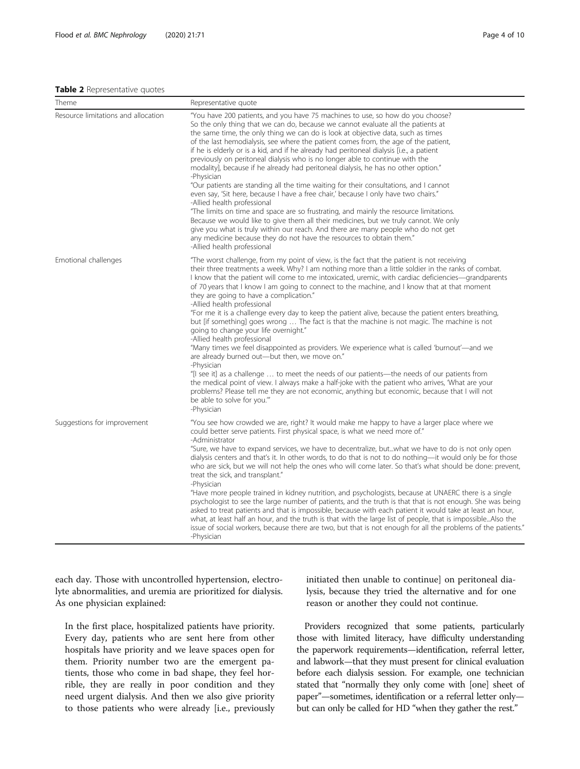#### <span id="page-3-0"></span>Table 2 Representative quotes

| Theme                               | Representative quote                                                                                                                                                                                                                                                                                                                                                                                                                                                                                                                                                                                                                                                                                                                                                                                                                                                                                                                                                                                                                                                                                                                                                                                                                                                                  |  |  |
|-------------------------------------|---------------------------------------------------------------------------------------------------------------------------------------------------------------------------------------------------------------------------------------------------------------------------------------------------------------------------------------------------------------------------------------------------------------------------------------------------------------------------------------------------------------------------------------------------------------------------------------------------------------------------------------------------------------------------------------------------------------------------------------------------------------------------------------------------------------------------------------------------------------------------------------------------------------------------------------------------------------------------------------------------------------------------------------------------------------------------------------------------------------------------------------------------------------------------------------------------------------------------------------------------------------------------------------|--|--|
| Resource limitations and allocation | "You have 200 patients, and you have 75 machines to use, so how do you choose?<br>So the only thing that we can do, because we cannot evaluate all the patients at<br>the same time, the only thing we can do is look at objective data, such as times<br>of the last hemodialysis, see where the patient comes from, the age of the patient,<br>if he is elderly or is a kid, and if he already had peritoneal dialysis [i.e., a patient<br>previously on peritoneal dialysis who is no longer able to continue with the<br>modality], because if he already had peritoneal dialysis, he has no other option."<br>-Physician<br>"Our patients are standing all the time waiting for their consultations, and I cannot<br>even say, 'Sit here, because I have a free chair,' because I only have two chairs."<br>-Allied health professional<br>"The limits on time and space are so frustrating, and mainly the resource limitations.<br>Because we would like to give them all their medicines, but we truly cannot. We only<br>give you what is truly within our reach. And there are many people who do not get<br>any medicine because they do not have the resources to obtain them."<br>-Allied health professional                                                            |  |  |
| Emotional challenges                | "The worst challenge, from my point of view, is the fact that the patient is not receiving<br>their three treatments a week. Why? I am nothing more than a little soldier in the ranks of combat.<br>I know that the patient will come to me intoxicated, uremic, with cardiac deficiencies—grandparents<br>of 70 years that I know I am going to connect to the machine, and I know that at that moment<br>they are going to have a complication."<br>-Allied health professional<br>"For me it is a challenge every day to keep the patient alive, because the patient enters breathing,<br>but [if something] goes wrong  The fact is that the machine is not magic. The machine is not<br>going to change your life overnight."<br>-Allied health professional<br>"Many times we feel disappointed as providers. We experience what is called 'burnout'—and we<br>are already burned out-but then, we move on."<br>-Physician<br>"[I see it] as a challenge  to meet the needs of our patients—the needs of our patients from<br>the medical point of view. I always make a half-joke with the patient who arrives, 'What are your<br>problems? Please tell me they are not economic, anything but economic, because that I will not<br>be able to solve for you.""<br>-Physician |  |  |
| Suggestions for improvement         | "You see how crowded we are, right? It would make me happy to have a larger place where we<br>could better serve patients. First physical space, is what we need more of."<br>-Administrator<br>"Sure, we have to expand services, we have to decentralize, butwhat we have to do is not only open<br>dialysis centers and that's it. In other words, to do that is not to do nothing—it would only be for those<br>who are sick, but we will not help the ones who will come later. So that's what should be done: prevent,<br>treat the sick, and transplant."<br>-Physician<br>"Have more people trained in kidney nutrition, and psychologists, because at UNAERC there is a single<br>psychologist to see the large number of patients, and the truth is that that is not enough. She was being<br>asked to treat patients and that is impossible, because with each patient it would take at least an hour,<br>what, at least half an hour, and the truth is that with the large list of people, that is impossibleAlso the<br>issue of social workers, because there are two, but that is not enough for all the problems of the patients."<br>-Physician                                                                                                                      |  |  |

each day. Those with uncontrolled hypertension, electrolyte abnormalities, and uremia are prioritized for dialysis. As one physician explained:

In the first place, hospitalized patients have priority. Every day, patients who are sent here from other hospitals have priority and we leave spaces open for them. Priority number two are the emergent patients, those who come in bad shape, they feel horrible, they are really in poor condition and they need urgent dialysis. And then we also give priority to those patients who were already [i.e., previously initiated then unable to continue] on peritoneal dialysis, because they tried the alternative and for one reason or another they could not continue.

Providers recognized that some patients, particularly those with limited literacy, have difficulty understanding the paperwork requirements—identification, referral letter, and labwork—that they must present for clinical evaluation before each dialysis session. For example, one technician stated that "normally they only come with [one] sheet of paper"—sometimes, identification or a referral letter only but can only be called for HD "when they gather the rest."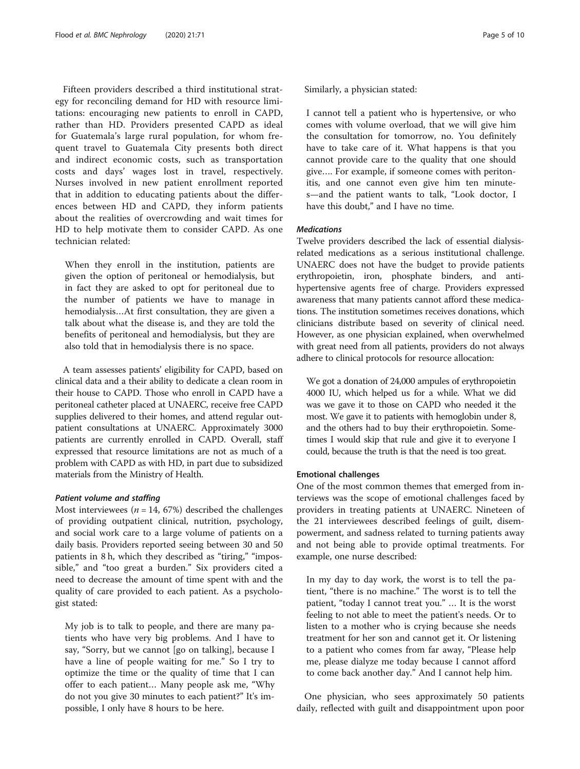Fifteen providers described a third institutional strategy for reconciling demand for HD with resource limitations: encouraging new patients to enroll in CAPD, rather than HD. Providers presented CAPD as ideal for Guatemala's large rural population, for whom frequent travel to Guatemala City presents both direct and indirect economic costs, such as transportation costs and days' wages lost in travel, respectively. Nurses involved in new patient enrollment reported that in addition to educating patients about the differences between HD and CAPD, they inform patients about the realities of overcrowding and wait times for HD to help motivate them to consider CAPD. As one technician related:

When they enroll in the institution, patients are given the option of peritoneal or hemodialysis, but in fact they are asked to opt for peritoneal due to the number of patients we have to manage in hemodialysis…At first consultation, they are given a talk about what the disease is, and they are told the benefits of peritoneal and hemodialysis, but they are also told that in hemodialysis there is no space.

A team assesses patients' eligibility for CAPD, based on clinical data and a their ability to dedicate a clean room in their house to CAPD. Those who enroll in CAPD have a peritoneal catheter placed at UNAERC, receive free CAPD supplies delivered to their homes, and attend regular outpatient consultations at UNAERC. Approximately 3000 patients are currently enrolled in CAPD. Overall, staff expressed that resource limitations are not as much of a problem with CAPD as with HD, in part due to subsidized materials from the Ministry of Health.

#### Patient volume and staffing

Most interviewees ( $n = 14, 67\%$ ) described the challenges of providing outpatient clinical, nutrition, psychology, and social work care to a large volume of patients on a daily basis. Providers reported seeing between 30 and 50 patients in 8 h, which they described as "tiring," "impossible," and "too great a burden." Six providers cited a need to decrease the amount of time spent with and the quality of care provided to each patient. As a psychologist stated:

My job is to talk to people, and there are many patients who have very big problems. And I have to say, "Sorry, but we cannot [go on talking], because I have a line of people waiting for me." So I try to optimize the time or the quality of time that I can offer to each patient… Many people ask me, "Why do not you give 30 minutes to each patient?" It's impossible, I only have 8 hours to be here.

Similarly, a physician stated:

I cannot tell a patient who is hypertensive, or who comes with volume overload, that we will give him the consultation for tomorrow, no. You definitely have to take care of it. What happens is that you cannot provide care to the quality that one should give…. For example, if someone comes with peritonitis, and one cannot even give him ten minutes—and the patient wants to talk, "Look doctor, I have this doubt," and I have no time.

#### **Medications**

Twelve providers described the lack of essential dialysisrelated medications as a serious institutional challenge. UNAERC does not have the budget to provide patients erythropoietin, iron, phosphate binders, and antihypertensive agents free of charge. Providers expressed awareness that many patients cannot afford these medications. The institution sometimes receives donations, which clinicians distribute based on severity of clinical need. However, as one physician explained, when overwhelmed with great need from all patients, providers do not always adhere to clinical protocols for resource allocation:

We got a donation of 24,000 ampules of erythropoietin 4000 IU, which helped us for a while. What we did was we gave it to those on CAPD who needed it the most. We gave it to patients with hemoglobin under 8, and the others had to buy their erythropoietin. Sometimes I would skip that rule and give it to everyone I could, because the truth is that the need is too great.

#### Emotional challenges

One of the most common themes that emerged from interviews was the scope of emotional challenges faced by providers in treating patients at UNAERC. Nineteen of the 21 interviewees described feelings of guilt, disempowerment, and sadness related to turning patients away and not being able to provide optimal treatments. For example, one nurse described:

In my day to day work, the worst is to tell the patient, "there is no machine." The worst is to tell the patient, "today I cannot treat you." … It is the worst feeling to not able to meet the patient's needs. Or to listen to a mother who is crying because she needs treatment for her son and cannot get it. Or listening to a patient who comes from far away, "Please help me, please dialyze me today because I cannot afford to come back another day." And I cannot help him.

One physician, who sees approximately 50 patients daily, reflected with guilt and disappointment upon poor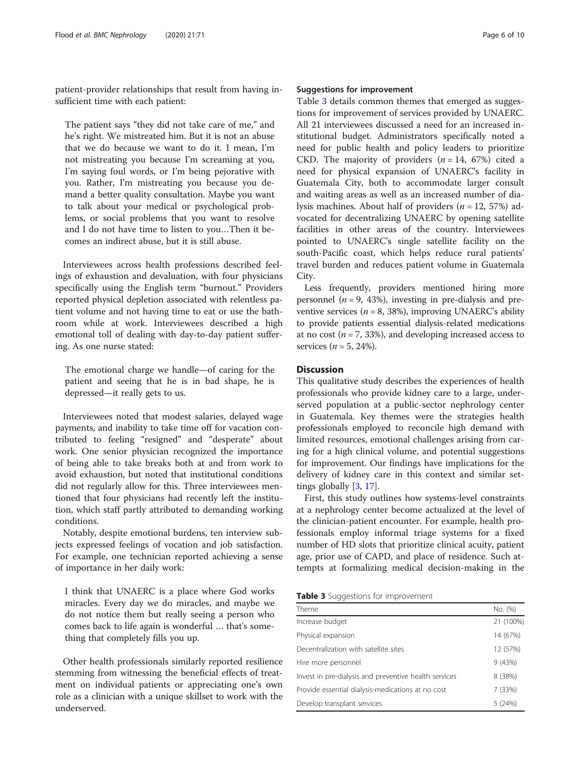patient-provider relationships that result from having insufficient time with each patient:

The patient says "they did not take care of me," and he's right. We mistreated him. But it is not an abuse that we do because we want to do it. I mean, I'm not mistreating you because I'm screaming at you, I'm saying foul words, or I'm being pejorative with you. Rather, I'm mistreating you because you demand a better quality consultation. Maybe you want to talk about your medical or psychological problems, or social problems that you want to resolve and I do not have time to listen to you…Then it becomes an indirect abuse, but it is still abuse.

Interviewees across health professions described feelings of exhaustion and devaluation, with four physicians specifically using the English term "burnout." Providers reported physical depletion associated with relentless patient volume and not having time to eat or use the bathroom while at work. Interviewees described a high emotional toll of dealing with day-to-day patient suffering. As one nurse stated:

The emotional charge we handle—of caring for the patient and seeing that he is in bad shape, he is depressed—it really gets to us.

Interviewees noted that modest salaries, delayed wage payments, and inability to take time off for vacation contributed to feeling "resigned" and "desperate" about work. One senior physician recognized the importance of being able to take breaks both at and from work to avoid exhaustion, but noted that institutional conditions did not regularly allow for this. Three interviewees mentioned that four physicians had recently left the institution, which staff partly attributed to demanding working conditions.

Notably, despite emotional burdens, ten interview subjects expressed feelings of vocation and job satisfaction. For example, one technician reported achieving a sense of importance in her daily work:

I think that UNAERC is a place where God works miracles. Every day we do miracles, and maybe we do not notice them but really seeing a person who comes back to life again is wonderful … that's something that completely fills you up.

Other health professionals similarly reported resilience stemming from witnessing the beneficial effects of treatment on individual patients or appreciating one's own role as a clinician with a unique skillset to work with the underserved.

#### Suggestions for improvement

Table 3 details common themes that emerged as suggestions for improvement of services provided by UNAERC. All 21 interviewees discussed a need for an increased institutional budget. Administrators specifically noted a need for public health and policy leaders to prioritize CKD. The majority of providers  $(n = 14, 67%)$  cited a need for physical expansion of UNAERC's facility in Guatemala City, both to accommodate larger consult and waiting areas as well as an increased number of dialysis machines. About half of providers ( $n = 12, 57\%$ ) advocated for decentralizing UNAERC by opening satellite facilities in other areas of the country. Interviewees pointed to UNAERC's single satellite facility on the south-Pacific coast, which helps reduce rural patients' travel burden and reduces patient volume in Guatemala City.

Less frequently, providers mentioned hiring more personnel  $(n = 9, 43\%)$ , investing in pre-dialysis and preventive services ( $n = 8$ , 38%), improving UNAERC's ability to provide patients essential dialysis-related medications at no cost ( $n = 7$ , 33%), and developing increased access to services ( $n = 5$ , 24%).

#### **Discussion**

This qualitative study describes the experiences of health professionals who provide kidney care to a large, underserved population at a public-sector nephrology center in Guatemala. Key themes were the strategies health professionals employed to reconcile high demand with limited resources, emotional challenges arising from caring for a high clinical volume, and potential suggestions for improvement. Our findings have implications for the delivery of kidney care in this context and similar settings globally [[3,](#page-8-0) [17\]](#page-8-0).

First, this study outlines how systems-level constraints at a nephrology center become actualized at the level of the clinician-patient encounter. For example, health professionals employ informal triage systems for a fixed number of HD slots that prioritize clinical acuity, patient age, prior use of CAPD, and place of residence. Such attempts at formalizing medical decision-making in the

| Theme                                                 | No. (%)   |
|-------------------------------------------------------|-----------|
| Increase budget                                       | 21 (100%) |
| Physical expansion                                    | 14 (67%)  |
| Decentralization with satellite sites                 | 12 (57%)  |
| Hire more personnel                                   | 9(43%)    |
| Invest in pre-dialysis and preventive health services | 8 (38%)   |
| Provide essential dialysis-medications at no cost     | 7 (33%)   |
| Develop transplant services                           | 5(24%)    |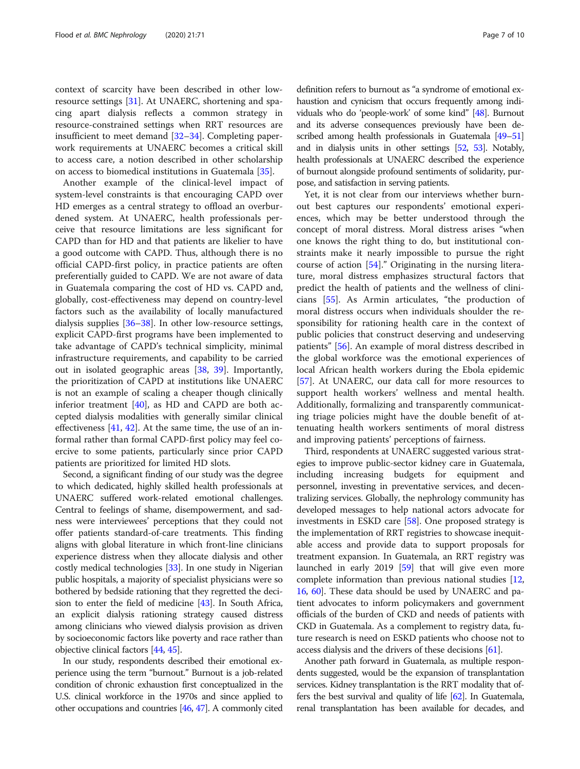context of scarcity have been described in other lowresource settings [[31\]](#page-8-0). At UNAERC, shortening and spacing apart dialysis reflects a common strategy in resource-constrained settings when RRT resources are insufficient to meet demand [[32](#page-8-0)–[34](#page-8-0)]. Completing paperwork requirements at UNAERC becomes a critical skill to access care, a notion described in other scholarship on access to biomedical institutions in Guatemala [[35\]](#page-8-0).

Another example of the clinical-level impact of system-level constraints is that encouraging CAPD over HD emerges as a central strategy to offload an overburdened system. At UNAERC, health professionals perceive that resource limitations are less significant for CAPD than for HD and that patients are likelier to have a good outcome with CAPD. Thus, although there is no official CAPD-first policy, in practice patients are often preferentially guided to CAPD. We are not aware of data in Guatemala comparing the cost of HD vs. CAPD and, globally, cost-effectiveness may depend on country-level factors such as the availability of locally manufactured dialysis supplies [\[36](#page-8-0)–[38\]](#page-8-0). In other low-resource settings, explicit CAPD-first programs have been implemented to take advantage of CAPD's technical simplicity, minimal infrastructure requirements, and capability to be carried out in isolated geographic areas [[38,](#page-8-0) [39](#page-8-0)]. Importantly, the prioritization of CAPD at institutions like UNAERC is not an example of scaling a cheaper though clinically inferior treatment [\[40](#page-8-0)], as HD and CAPD are both accepted dialysis modalities with generally similar clinical effectiveness [[41,](#page-8-0) [42\]](#page-8-0). At the same time, the use of an informal rather than formal CAPD-first policy may feel coercive to some patients, particularly since prior CAPD patients are prioritized for limited HD slots.

Second, a significant finding of our study was the degree to which dedicated, highly skilled health professionals at UNAERC suffered work-related emotional challenges. Central to feelings of shame, disempowerment, and sadness were interviewees' perceptions that they could not offer patients standard-of-care treatments. This finding aligns with global literature in which front-line clinicians experience distress when they allocate dialysis and other costly medical technologies [\[33\]](#page-8-0). In one study in Nigerian public hospitals, a majority of specialist physicians were so bothered by bedside rationing that they regretted the decision to enter the field of medicine [[43](#page-8-0)]. In South Africa, an explicit dialysis rationing strategy caused distress among clinicians who viewed dialysis provision as driven by socioeconomic factors like poverty and race rather than objective clinical factors [[44,](#page-8-0) [45\]](#page-8-0).

In our study, respondents described their emotional experience using the term "burnout." Burnout is a job-related condition of chronic exhaustion first conceptualized in the U.S. clinical workforce in the 1970s and since applied to other occupations and countries [\[46,](#page-8-0) [47\]](#page-8-0). A commonly cited

definition refers to burnout as "a syndrome of emotional exhaustion and cynicism that occurs frequently among individuals who do 'people-work' of some kind" [\[48](#page-8-0)]. Burnout and its adverse consequences previously have been described among health professionals in Guatemala [\[49](#page-9-0)–[51](#page-9-0)] and in dialysis units in other settings [\[52](#page-9-0), [53\]](#page-9-0). Notably, health professionals at UNAERC described the experience of burnout alongside profound sentiments of solidarity, purpose, and satisfaction in serving patients.

Yet, it is not clear from our interviews whether burnout best captures our respondents' emotional experiences, which may be better understood through the concept of moral distress. Moral distress arises "when one knows the right thing to do, but institutional constraints make it nearly impossible to pursue the right course of action [[54](#page-9-0)]." Originating in the nursing literature, moral distress emphasizes structural factors that predict the health of patients and the wellness of clinicians [[55\]](#page-9-0). As Armin articulates, "the production of moral distress occurs when individuals shoulder the responsibility for rationing health care in the context of public policies that construct deserving and undeserving patients" [[56](#page-9-0)]. An example of moral distress described in the global workforce was the emotional experiences of local African health workers during the Ebola epidemic [[57\]](#page-9-0). At UNAERC, our data call for more resources to support health workers' wellness and mental health. Additionally, formalizing and transparently communicating triage policies might have the double benefit of attenuating health workers sentiments of moral distress and improving patients' perceptions of fairness.

Third, respondents at UNAERC suggested various strategies to improve public-sector kidney care in Guatemala, including increasing budgets for equipment and personnel, investing in preventative services, and decentralizing services. Globally, the nephrology community has developed messages to help national actors advocate for investments in ESKD care [\[58\]](#page-9-0). One proposed strategy is the implementation of RRT registries to showcase inequitable access and provide data to support proposals for treatment expansion. In Guatemala, an RRT registry was launched in early 2019 [[59](#page-9-0)] that will give even more complete information than previous national studies [[12](#page-8-0), [16](#page-8-0), [60\]](#page-9-0). These data should be used by UNAERC and patient advocates to inform policymakers and government officials of the burden of CKD and needs of patients with CKD in Guatemala. As a complement to registry data, future research is need on ESKD patients who choose not to access dialysis and the drivers of these decisions [[61](#page-9-0)].

Another path forward in Guatemala, as multiple respondents suggested, would be the expansion of transplantation services. Kidney transplantation is the RRT modality that offers the best survival and quality of life [\[62\]](#page-9-0). In Guatemala, renal transplantation has been available for decades, and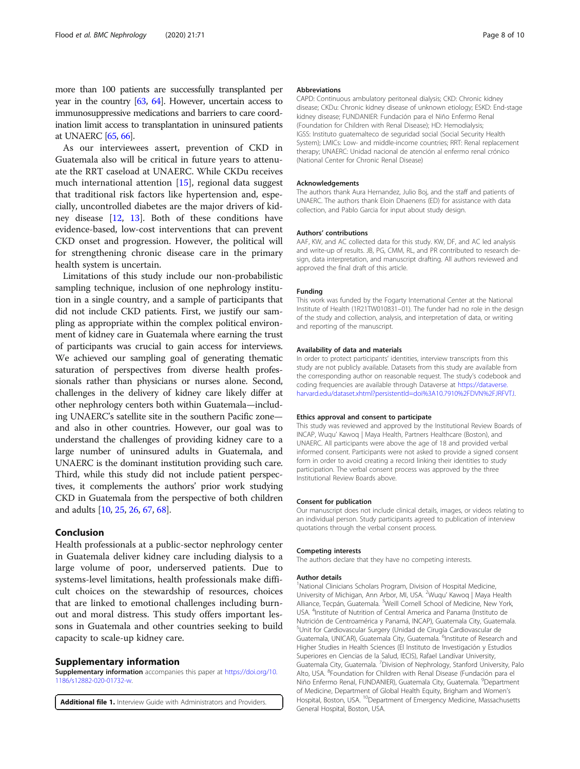<span id="page-7-0"></span>As our interviewees assert, prevention of CKD in Guatemala also will be critical in future years to attenuate the RRT caseload at UNAERC. While CKDu receives much international attention [[15\]](#page-8-0), regional data suggest that traditional risk factors like hypertension and, especially, uncontrolled diabetes are the major drivers of kidney disease [\[12](#page-8-0), [13\]](#page-8-0). Both of these conditions have evidence-based, low-cost interventions that can prevent CKD onset and progression. However, the political will for strengthening chronic disease care in the primary health system is uncertain.

Limitations of this study include our non-probabilistic sampling technique, inclusion of one nephrology institution in a single country, and a sample of participants that did not include CKD patients. First, we justify our sampling as appropriate within the complex political environment of kidney care in Guatemala where earning the trust of participants was crucial to gain access for interviews. We achieved our sampling goal of generating thematic saturation of perspectives from diverse health professionals rather than physicians or nurses alone. Second, challenges in the delivery of kidney care likely differ at other nephrology centers both within Guatemala—including UNAERC's satellite site in the southern Pacific zone and also in other countries. However, our goal was to understand the challenges of providing kidney care to a large number of uninsured adults in Guatemala, and UNAERC is the dominant institution providing such care. Third, while this study did not include patient perspectives, it complements the authors' prior work studying CKD in Guatemala from the perspective of both children and adults [[10](#page-8-0), [25,](#page-8-0) [26](#page-8-0), [67](#page-9-0), [68\]](#page-9-0).

#### Conclusion

Health professionals at a public-sector nephrology center in Guatemala deliver kidney care including dialysis to a large volume of poor, underserved patients. Due to systems-level limitations, health professionals make difficult choices on the stewardship of resources, choices that are linked to emotional challenges including burnout and moral distress. This study offers important lessons in Guatemala and other countries seeking to build capacity to scale-up kidney care.

#### Supplementary information

Supplementary information accompanies this paper at [https://doi.org/10.](https://doi.org/10.1186/s12882-020-01732-w) [1186/s12882-020-01732-w](https://doi.org/10.1186/s12882-020-01732-w).

Additional file 1. Interview Guide with Administrators and Providers.

#### Abbreviations

CAPD: Continuous ambulatory peritoneal dialysis; CKD: Chronic kidney disease; CKDu: Chronic kidney disease of unknown etiology; ESKD: End-stage kidney disease; FUNDANIER: Fundación para el Niño Enfermo Renal (Foundation for Children with Renal Disease); HD: Hemodialysis; IGSS: Instituto guatemalteco de seguridad social (Social Security Health System); LMICs: Low- and middle-income countries; RRT: Renal replacement therapy; UNAERC: Unidad nacional de atención al enfermo renal crónico (National Center for Chronic Renal Disease)

#### Acknowledgements

The authors thank Aura Hernandez, Julio Boj, and the staff and patients of UNAERC. The authors thank Eloin Dhaenens (ED) for assistance with data collection, and Pablo Garcia for input about study design.

#### Authors' contributions

AAF, KW, and AC collected data for this study. KW, DF, and AC led analysis and write-up of results. JB, PG, CMM, RL, and PR contributed to research design, data interpretation, and manuscript drafting. All authors reviewed and approved the final draft of this article.

#### Funding

This work was funded by the Fogarty International Center at the National Institute of Health (1R21TW010831–01). The funder had no role in the design of the study and collection, analysis, and interpretation of data, or writing and reporting of the manuscript.

#### Availability of data and materials

In order to protect participants' identities, interview transcripts from this study are not publicly available. Datasets from this study are available from the corresponding author on reasonable request. The study's codebook and coding frequencies are available through Dataverse at [https://dataverse.](https://dataverse.harvard.edu/dataset.xhtml?persistentId=doi%3A10.7910%2FDVN%2FJRFVTJ) [harvard.edu/dataset.xhtml?persistentId=doi%3A10.7910%2FDVN%2FJRFVTJ](https://dataverse.harvard.edu/dataset.xhtml?persistentId=doi%3A10.7910%2FDVN%2FJRFVTJ).

#### Ethics approval and consent to participate

This study was reviewed and approved by the Institutional Review Boards of INCAP, Wuqu' Kawoq | Maya Health, Partners Healthcare (Boston), and UNAERC. All participants were above the age of 18 and provided verbal informed consent. Participants were not asked to provide a signed consent form in order to avoid creating a record linking their identities to study participation. The verbal consent process was approved by the three Institutional Review Boards above.

#### Consent for publication

Our manuscript does not include clinical details, images, or videos relating to an individual person. Study participants agreed to publication of interview quotations through the verbal consent process.

#### Competing interests

The authors declare that they have no competing interests.

#### Author details

<sup>1</sup>National Clinicians Scholars Program, Division of Hospital Medicine, University of Michigan, Ann Arbor, MI, USA. <sup>2</sup>Wuqu' Kawoq | Maya Health Alliance, Tecpán, Guatemala. <sup>3</sup>Weill Cornell School of Medicine, New York USA. <sup>4</sup>Institute of Nutrition of Central America and Panama (Instituto de Nutrición de Centroamérica y Panamá, INCAP), Guatemala City, Guatemala. 5 Unit for Cardiovascular Surgery (Unidad de Cirugía Cardiovascular de Guatemala, UNICAR), Guatemala City, Guatemala. <sup>6</sup>Institute of Research and Higher Studies in Health Sciences (El Instituto de Investigación y Estudios Superiores en Ciencias de la Salud, IECIS), Rafael Landívar University, Guatemala City, Guatemala. <sup>7</sup> Division of Nephrology, Stanford University, Palo Alto, USA. <sup>8</sup>Foundation for Children with Renal Disease (Fundación para el Niño Enfermo Renal, FUNDANIER), Guatemala City, Guatemala. <sup>9</sup>Department of Medicine, Department of Global Health Equity, Brigham and Women's Hospital, Boston, USA. <sup>10</sup>Department of Emergency Medicine, Massachusetts General Hospital, Boston, USA.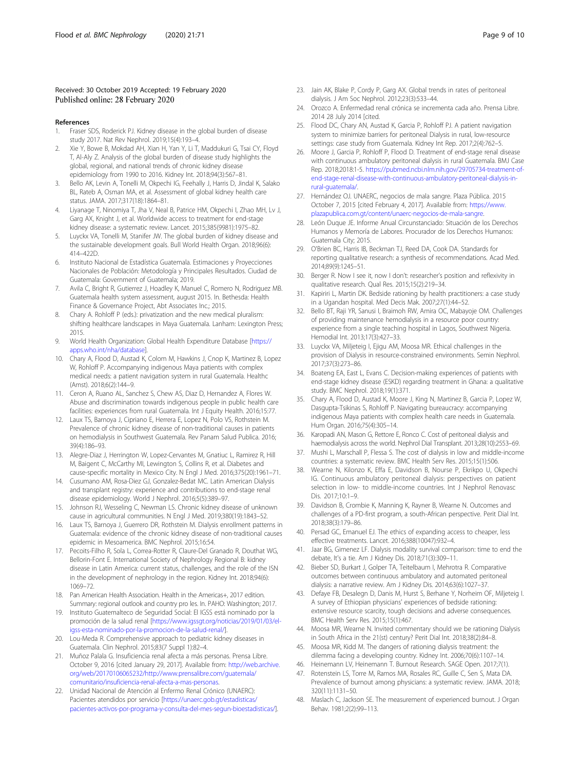#### <span id="page-8-0"></span>Received: 30 October 2019 Accepted: 19 February 2020 Published online: 28 February 2020

#### References

- 1. Fraser SDS, Roderick PJ. Kidney disease in the global burden of disease study 2017. Nat Rev Nephrol. 2019;15(4):193–4.
- 2. Xie Y, Bowe B, Mokdad AH, Xian H, Yan Y, Li T, Maddukuri G, Tsai CY, Floyd T, Al-Aly Z. Analysis of the global burden of disease study highlights the global, regional, and national trends of chronic kidney disease epidemiology from 1990 to 2016. Kidney Int. 2018;94(3):567–81.
- 3. Bello AK, Levin A, Tonelli M, Okpechi IG, Feehally J, Harris D, Jindal K, Salako BL, Rateb A, Osman MA, et al. Assessment of global kidney health care status. JAMA. 2017;317(18):1864–81.
- 4. Liyanage T, Ninomiya T, Jha V, Neal B, Patrice HM, Okpechi I, Zhao MH, Lv J, Garg AX, Knight J, et al. Worldwide access to treatment for end-stage kidney disease: a systematic review. Lancet. 2015;385(9981):1975–82.
- 5. Luyckx VA, Tonelli M, Stanifer JW. The global burden of kidney disease and the sustainable development goals. Bull World Health Organ. 2018;96(6): 414–422D.
- 6. Instituto Nacional de Estadística Guatemala. Estimaciones y Proyecciones Nacionales de Población: Metodología y Principales Resultados. Ciudad de Guatemala: Government of Guatemala; 2019.
- 7. Avila C, Bright R, Gutierrez J, Hoadley K, Manuel C, Romero N, Rodriguez MB. Guatemala health system assessment, august 2015. In. Bethesda: Health Finance & Governance Project, Abt Associates Inc.; 2015.
- Chary A. Rohloff P (eds.): privatization and the new medical pluralism: shifting healthcare landscapes in Maya Guatemala. Lanham: Lexington Press; 2015.
- 9. World Health Organization: Global Health Expenditure Database [\[https://](https://apps.who.int/nha/database) [apps.who.int/nha/database\]](https://apps.who.int/nha/database).
- 10. Chary A, Flood D, Austad K, Colom M, Hawkins J, Cnop K, Martinez B, Lopez W, Rohloff P. Accompanying indigenous Maya patients with complex medical needs: a patient navigation system in rural Guatemala. Healthc (Amst). 2018;6(2):144–9.
- 11. Ceron A, Ruano AL, Sanchez S, Chew AS, Diaz D, Hernandez A, Flores W. Abuse and discrimination towards indigenous people in public health care facilities: experiences from rural Guatemala. Int J Equity Health. 2016;15:77.
- 12. Laux TS, Barnoya J, Cipriano E, Herrera E, Lopez N, Polo VS, Rothstein M. Prevalence of chronic kidney disease of non-traditional causes in patients on hemodialysis in Southwest Guatemala. Rev Panam Salud Publica. 2016; 39(4):186–93.
- 13. Alegre-Diaz J, Herrington W, Lopez-Cervantes M, Gnatiuc L, Ramirez R, Hill M, Baigent C, McCarthy MI, Lewington S, Collins R, et al. Diabetes and cause-specific mortality in Mexico City. N Engl J Med. 2016;375(20):1961–71.
- 14. Cusumano AM, Rosa-Diez GJ, Gonzalez-Bedat MC. Latin American Dialysis and transplant registry: experience and contributions to end-stage renal disease epidemiology. World J Nephrol. 2016;5(5):389–97.
- 15. Johnson RJ, Wesseling C, Newman LS. Chronic kidney disease of unknown cause in agricultural communities. N Engl J Med. 2019;380(19):1843–52.
- 16. Laux TS, Barnoya J, Guerrero DR, Rothstein M. Dialysis enrollment patterns in Guatemala: evidence of the chronic kidney disease of non-traditional causes epidemic in Mesoamerica. BMC Nephrol. 2015;16:54.
- 17. Pecoits-Filho R, Sola L, Correa-Rotter R, Claure-Del Granado R, Douthat WG, Bellorin-Font E. International Society of Nephrology Regional B: kidney disease in Latin America: current status, challenges, and the role of the ISN in the development of nephrology in the region. Kidney Int. 2018;94(6): 1069–72.
- 18. Pan American Health Association. Health in the Americas+, 2017 edition. Summary: regional outlook and country pro les. In. PAHO: Washington; 2017.
- 19. Instituto Guatemalteco de Seguridad Social: El IGSS está nominado por la promoción de la salud renal [\[https://www.igssgt.org/noticias/2019/01/03/el](https://www.igssgt.org/noticias/2019/01/03/el-igss-esta-nominado-por-la-promocion-de-la-salud-renal/)[igss-esta-nominado-por-la-promocion-de-la-salud-renal/\]](https://www.igssgt.org/noticias/2019/01/03/el-igss-esta-nominado-por-la-promocion-de-la-salud-renal/).
- 20. Lou-Meda R. Comprehensive approach to pediatric kidney diseases in Guatemala. Clin Nephrol. 2015;83(7 Suppl 1):82–4.
- 21. Muñoz Palala G. Insuficiencia renal afecta a más personas. Prensa Libre. October 9, 2016 [cited January 29, 2017]. Available from: [http://web.archive.](http://web.archive.org/web/20170106065232/http://www.prensalibre.com/guatemala/comunitario/insuficiencia-renal-afecta-a-mas-personas) [org/web/20170106065232/http://www.prensalibre.com/guatemala/](http://web.archive.org/web/20170106065232/http://www.prensalibre.com/guatemala/comunitario/insuficiencia-renal-afecta-a-mas-personas) [comunitario/insuficiencia-renal-afecta-a-mas-personas](http://web.archive.org/web/20170106065232/http://www.prensalibre.com/guatemala/comunitario/insuficiencia-renal-afecta-a-mas-personas).
- 22. Unidad Nacional de Atención al Enfermo Renal Crónico (UNAERC): Pacientes atendidos por servicio [[https://unaerc.gob.gt/estadisticas/](https://unaerc.gob.gt/estadisticas/pacientes-activos-por-programa-y-consulta-del-mes-segun-bioestadisticas/) [pacientes-activos-por-programa-y-consulta-del-mes-segun-bioestadisticas/\]](https://unaerc.gob.gt/estadisticas/pacientes-activos-por-programa-y-consulta-del-mes-segun-bioestadisticas/).
- 23. Jain AK, Blake P, Cordy P, Garg AX. Global trends in rates of peritoneal dialysis. J Am Soc Nephrol. 2012;23(3):533–44.
- 24. Orozco A. Enfermedad renal crónica se incrementa cada año. Prensa Libre. 2014 28 July 2014 [cited.
- 25. Flood DC, Chary AN, Austad K, Garcia P, Rohloff PJ. A patient navigation system to minimize barriers for peritoneal Dialysis in rural, low-resource settings: case study from Guatemala. Kidney Int Rep. 2017;2(4):762–5.
- 26. Moore J, Garcia P, Rohloff P, Flood D. Treatment of end-stage renal disease with continuous ambulatory peritoneal dialysis in rural Guatemala. BMJ Case Rep. 2018;2018:1-5. [https://pubmed.ncbi.nlm.nih.gov/29705734-treatment-of](https://pubmed.ncbi.nlm.nih.gov/29705734-treatment-of-end-stage-renal-disease-with-continuous-ambulatory-peritoneal-dialysis-in-rural-guatemala/)[end-stage-renal-disease-with-continuous-ambulatory-peritoneal-dialysis-in](https://pubmed.ncbi.nlm.nih.gov/29705734-treatment-of-end-stage-renal-disease-with-continuous-ambulatory-peritoneal-dialysis-in-rural-guatemala/)[rural-guatemala/.](https://pubmed.ncbi.nlm.nih.gov/29705734-treatment-of-end-stage-renal-disease-with-continuous-ambulatory-peritoneal-dialysis-in-rural-guatemala/)
- 27. Hernández OJ. UNAERC, negocios de mala sangre. Plaza Pública. 2015 October 7, 2015 [cited February 4, 2017]. Available from: [https://www.](https://www.plazapublica.com.gt/content/unaerc-negocios-de-mala-sangre) [plazapublica.com.gt/content/unaerc-negocios-de-mala-sangre](https://www.plazapublica.com.gt/content/unaerc-negocios-de-mala-sangre).
- 28. León Duque JE. Informe Anual Circunstanciado: Situación de los Derechos Humanos y Memoría de Labores. Procurador de los Derechos Humanos: Guatemala City; 2015.
- 29. O'Brien BC, Harris IB, Beckman TJ, Reed DA, Cook DA. Standards for reporting qualitative research: a synthesis of recommendations. Acad Med. 2014;89(9):1245–51.
- Berger R. Now I see it, now I don't: researcher's position and reflexivity in qualitative research. Qual Res. 2015;15(2):219–34.
- 31. Kapiriri L, Martin DK. Bedside rationing by health practitioners: a case study in a Ugandan hospital. Med Decis Mak. 2007;27(1):44–52.
- 32. Bello BT, Raji YR, Sanusi I, Braimoh RW, Amira OC, Mabayoje OM. Challenges of providing maintenance hemodialysis in a resource poor country: experience from a single teaching hospital in Lagos, Southwest Nigeria. Hemodial Int. 2013;17(3):427–33.
- 33. Luyckx VA, Miljeteig I, Ejigu AM, Moosa MR. Ethical challenges in the provision of Dialysis in resource-constrained environments. Semin Nephrol. 2017;37(3):273–86.
- 34. Boateng EA, East L, Evans C. Decision-making experiences of patients with end-stage kidney disease (ESKD) regarding treatment in Ghana: a qualitative study. BMC Nephrol. 2018;19(1):371.
- Chary A, Flood D, Austad K, Moore J, King N, Martinez B, Garcia P, Lopez W, Dasgupta-Tsikinas S, Rohloff P. Navigating bureaucracy: accompanying indigenous Maya patients with complex health care needs in Guatemala. Hum Organ. 2016;75(4):305–14.
- 36. Karopadi AN, Mason G, Rettore E, Ronco C. Cost of peritoneal dialysis and haemodialysis across the world. Nephrol Dial Transplant. 2013;28(10):2553–69.
- 37. Mushi L, Marschall P, Flessa S. The cost of dialysis in low and middle-income countries: a systematic review. BMC Health Serv Res. 2015;15(1):506.
- 38. Wearne N, Kilonzo K, Effa E, Davidson B, Nourse P, Ekrikpo U, Okpechi IG. Continuous ambulatory peritoneal dialysis: perspectives on patient selection in low- to middle-income countries. Int J Nephrol Renovasc Dis. 2017;10:1–9.
- 39. Davidson B, Crombie K, Manning K, Rayner B, Wearne N. Outcomes and challenges of a PD-first program, a south-African perspective. Perit Dial Int. 2018;38(3):179–86.
- 40. Persad GC, Emanuel EJ. The ethics of expanding access to cheaper, less effective treatments. Lancet. 2016;388(10047):932–4.
- 41. Jaar BG, Gimenez LF. Dialysis modality survival comparison: time to end the debate, It's a tie. Am J Kidney Dis. 2018;71(3):309–11.
- 42. Bieber SD, Burkart J, Golper TA, Teitelbaum I, Mehrotra R. Comparative outcomes between continuous ambulatory and automated peritoneal dialysis: a narrative review. Am J Kidney Dis. 2014;63(6):1027–37.
- 43. Defaye FB, Desalegn D, Danis M, Hurst S, Berhane Y, Norheim OF, Miljeteig I. A survey of Ethiopian physicians' experiences of bedside rationing: extensive resource scarcity, tough decisions and adverse consequences. BMC Health Serv Res. 2015;15(1):467.
- 44. Moosa MR, Wearne N. Invited commentary should we be rationing Dialysis in South Africa in the 21(st) century? Perit Dial Int. 2018;38(2):84–8.
- 45. Moosa MR, Kidd M. The dangers of rationing dialysis treatment: the dilemma facing a developing country. Kidney Int. 2006;70(6):1107–14.
- 46. Heinemann LV, Heinemann T. Burnout Research. SAGE Open. 2017;7(1).
- 47. Rotenstein LS, Torre M, Ramos MA, Rosales RC, Guille C, Sen S, Mata DA. Prevalence of burnout among physicians: a systematic review. JAMA. 2018; 320(11):1131–50.
- 48. Maslach C, Jackson SE. The measurement of experienced burnout. J Organ Behav. 1981;2(2):99–113.